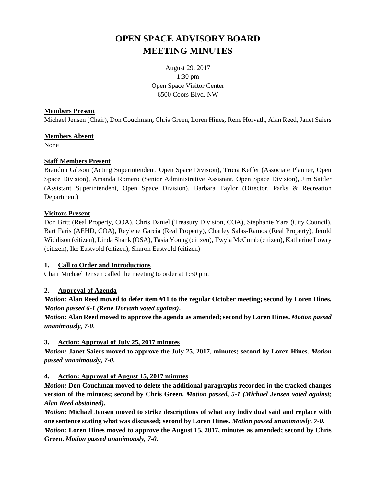# **OPEN SPACE ADVISORY BOARD MEETING MINUTES**

August 29, 2017 1:30 pm Open Space Visitor Center 6500 Coors Blvd. NW

#### **Members Present**

Michael Jensen (Chair), Don Couchman**,** Chris Green, Loren Hines**,** Rene Horvath**,** Alan Reed, Janet Saiers

# **Members Absent**

None

# **Staff Members Present**

Brandon Gibson (Acting Superintendent, Open Space Division), Tricia Keffer (Associate Planner, Open Space Division), Amanda Romero (Senior Administrative Assistant, Open Space Division), Jim Sattler (Assistant Superintendent, Open Space Division), Barbara Taylor (Director, Parks & Recreation Department)

# **Visitors Present**

Don Britt (Real Property, COA), Chris Daniel (Treasury Division, COA), Stephanie Yara (City Council), Bart Faris (AEHD, COA), Reylene Garcia (Real Property), Charley Salas-Ramos (Real Property), Jerold Widdison (citizen), Linda Shank (OSA), Tasia Young (citizen), Twyla McComb (citizen), Katherine Lowry (citizen), Ike Eastvold (citizen), Sharon Eastvold (citizen)

# **1. Call to Order and Introductions**

Chair Michael Jensen called the meeting to order at 1:30 pm.

# **2. Approval of Agenda**

*Motion:* **Alan Reed moved to defer item #11 to the regular October meeting; second by Loren Hines.**  *Motion passed 6-1 (Rene Horvath voted against)***.**

*Motion:* **Alan Reed moved to approve the agenda as amended; second by Loren Hines.** *Motion passed unanimously, 7-0***.**

# **3. Action: Approval of July 25, 2017 minutes**

*Motion:* **Janet Saiers moved to approve the July 25, 2017, minutes; second by Loren Hines.** *Motion passed unanimously, 7-0***.**

# **4. Action: Approval of August 15, 2017 minutes**

*Motion:* **Don Couchman moved to delete the additional paragraphs recorded in the tracked changes version of the minutes; second by Chris Green.** *Motion passed, 5-1 (Michael Jensen voted against; Alan Reed abstained)***.**

*Motion:* **Michael Jensen moved to strike descriptions of what any individual said and replace with one sentence stating what was discussed; second by Loren Hines.** *Motion passed unanimously, 7-0***.** *Motion:* **Loren Hines moved to approve the August 15, 2017, minutes as amended; second by Chris Green.** *Motion passed unanimously, 7-0***.**